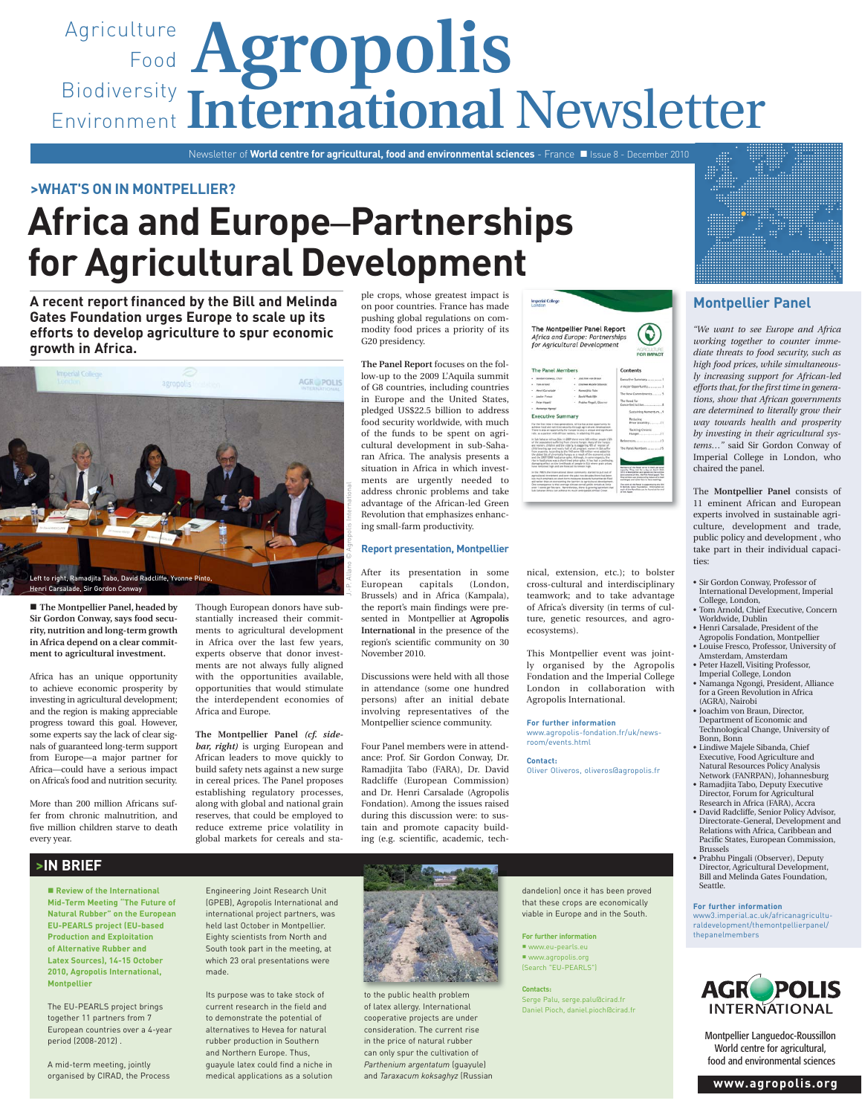# Agriculture **Agropolis** Food Biodiversity Environment International Newsletter

Newsletter of **World centre for agricultural, food and environmental sciences** - France Issue 8 - December 2010

## **>WHAT'S ON IN MONTPELLIER?**

# **Africa and Europe**–**Partnerships for Agricultural Development**

**A recent report financed by the Bill and Melinda Gates Foundation urges Europe to scale up its efforts to develop agriculture to spur economic growth in Africa.**



■ The Montpellier Panel, headed by **Sir Gordon Conway, says food security, nutrition and long-term growth in Africa depend on a clear commitment to agricultural investment.** 

Africa has an unique opportunity to achieve economic prosperity by investing in agricultural development; and the region is making appreciable progress toward this goal. However, some experts say the lack of clear signals of guaranteed long-term support from Europe—a major partner for Africa—could have a serious impact on Africa's food and nutrition security.

More than 200 million Africans suffer from chronic malnutrition, and five million children starve to death every year.

Though European donors have substantially increased their commitments to agricultural development in Africa over the last few years, experts observe that donor investments are not always fully aligned with the opportunities available, opportunities that would stimulate the interdependent economies of Africa and Europe.

**The Montpellier Panel** *(cf. sidebar, right)* is urging European and African leaders to move quickly to build safety nets against a new surge in cereal prices. The Panel proposes establishing regulatory processes, along with global and national grain reserves, that could be employed to reduce extreme price volatility in global markets for cereals and sta-

ple crops, whose greatest impact is on poor countries. France has made pushing global regulations on commodity food prices a priority of its G20 presidency.

**The Panel Report** focuses on the follow-up to the 2009 L'Aquila summit of G8 countries, including countries in Europe and the United States, pledged US\$22.5 billion to address food security worldwide, with much of the funds to be spent on agricultural development in sub-Saharan Africa. The analysis presents a situation in Africa in which investments are urgently needed to address chronic problems and take advantage of the African-led Green Revolution that emphasizes enhancing small-farm productivity.

## **Report presentation, Montpellier**

After its presentation in some European capitals (London, Brussels) and in Africa (Kampala), the report's main findings were presented in Montpellier at **Agropolis International** in the presence of the region's scientific community on 30 November 2010.

Discussions were held with all those in attendance (some one hundred persons) after an initial debate involving representatives of the Montpellier science community.

Four Panel members were in attendance: Prof. Sir Gordon Conway, Dr. Ramadjita Tabo (FARA), Dr. David Radcliffe (European Commission) and Dr. Henri Carsalade (Agropolis Fondation). Among the issues raised during this discussion were: to sustain and promote capacity building (e.g. scientific, academic, tech-



nical, extension, etc.); to bolster cross-cultural and interdisciplinary teamwork; and to take advantage of Africa's diversity (in terms of culture, genetic resources, and agroecosystems).

This Montpellier event was jointly organised by the Agropolis Fondation and the Imperial College London in collaboration with Agropolis International.

**For further information** www.agropolis-fondation.fr/uk/newsroom/events.html

**Contact:** 

Oliver Oliveros, oliveros@agropolis.fr

# **>IN BRIEF**

■ Review of the International **Mid-Term Meeting "The Future of Natural Rubber" on the European EU-PEARLS project (EU-based Production and Exploitation of Alternative Rubber and Latex Sources), 14-15 October 2010, Agropolis International, Montpellier** 

The EU-PEARLS project brings together 11 partners from 7 European countries over a 4-year period (2008-2012) .

A mid-term meeting, jointly organised by CIRAD, the Process

Engineering Joint Research Unit (GPEB), Agropolis International and international project partners, was held last October in Montpellier. Eighty scientists from North and South took part in the meeting, at which 23 oral presentations were made.

Its purpose was to take stock of current research in the field and to demonstrate the potential of alternatives to Hevea for natural rubber production in Southern and Northern Europe. Thus, guayule latex could find a niche in medical applications as a solution



to the public health problem of latex allergy. International cooperative projects are under consideration. The current rise in the price of natural rubber can only spur the cultivation of *Parthenium argentatum* (guayule) and *Taraxacum koksaghyz* (Russian

dandelion) once it has been proved that these crops are economically viable in Europe and in the South.

**For further information** ■ www.eu-pearls.eu www.agropolis.org (Search "EU-PEARLS")

**Contacts:** Serge Palu, serge.palu@cirad.fr Daniel Pioch, daniel.pioch@cirad.fr



## **Montpellier Panel**

*"We want to see Europe and Africa working together to counter immediate threats to food security, such as high food prices, while simultaneously increasing support for African-led efforts that, for the first time in generations, show that African governments are determined to literally grow their way towards health and prosperity by investing in their agricultural systems…"* said Sir Gordon Conway of Imperial College in London, who chaired the panel.

The **Montpellier Panel** consists of 11 eminent African and European experts involved in sustainable agriculture, development and trade, public policy and development , who take part in their individual capacities:

- Sir Gordon Conway, Professor of International Development, Imperial College, London
- Tom Arnold, Chief Executive, Concern Worldwide, Dublin
- Henri Carsalade, President of the Agropolis Fondation, Montpellier
- Louise Fresco, Professor, University of Amsterdam, Amsterdam
- Peter Hazell, Visiting Professor, Imperial College, London • Namanga Ngongi, President, Alliance
- for a Green Revolution in Africa (AGRA), Nairobi
- Joachim von Braun, Director, Department of Economic and Technological Change, University of Bonn, Bonn
- Lindiwe Majele Sibanda, Chief Executive, Food Agriculture and Natural Resources Policy Analysis Network (FANRPAN), Johannesburg
- Ramadjita Tabo, Deputy Executive Director, Forum for Agricultural Research in Africa (FARA), Accra
- David Radcliffe, Senior Policy Advisor, Directorate-General, Development and Relations with Africa, Caribbean and Pacific States, European Commission, Brussels
- Prabhu Pingali (Observer), Deputy Director, Agricultural Development, Bill and Melinda Gates Foundation, Seattle.

**For further information**  www3.imperial.ac.uk/africanagriculturaldevelopment/themontpellierpanel/ thepanelmembers



Montpellier Languedoc-Roussillon World centre for agricultural, food and environmental sciences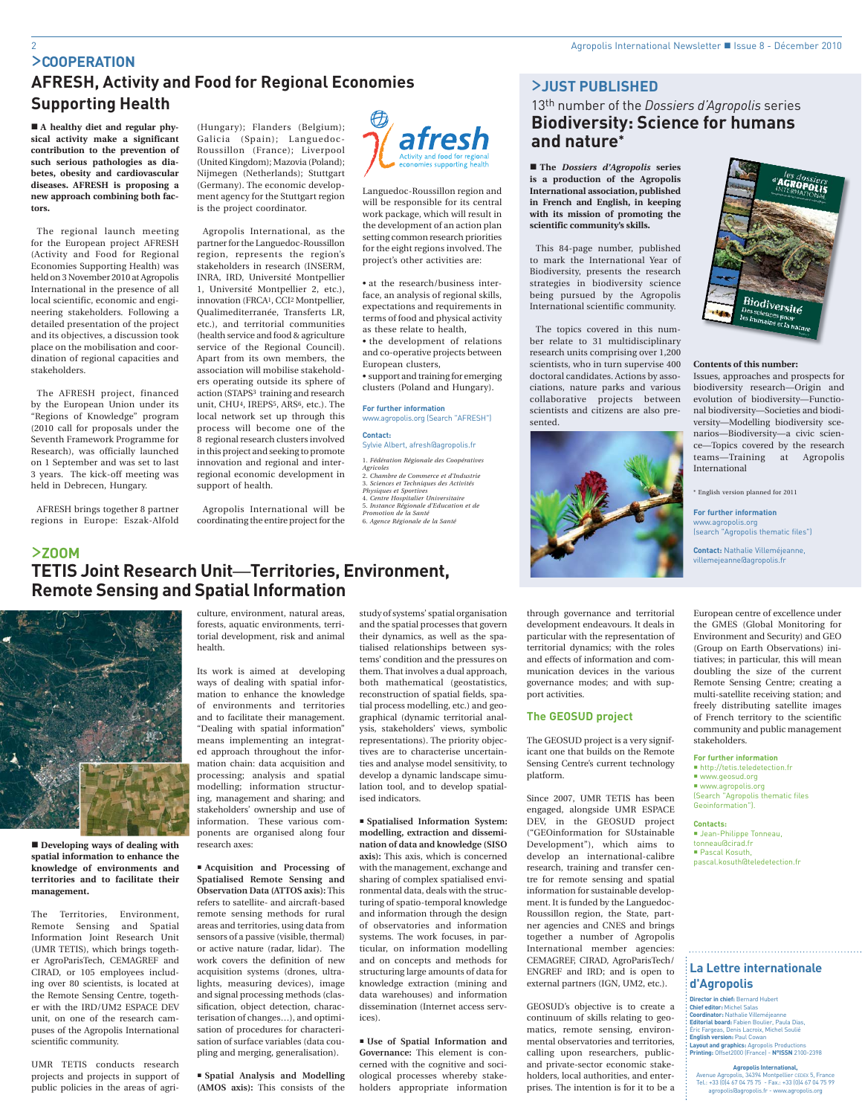# >**COOPERATION AFRESH, Activity and Food for Regional Economies Supporting Health**

 **A healthy diet and regular physical activity make a significant contribution to the prevention of such serious pathologies as diabetes, obesity and cardiovascular diseases. AFRESH is proposing a new approach combining both factors.**

The regional launch meeting for the European project AFRESH (Activity and Food for Regional Economies Supporting Health) was held on 3 November 2010 at Agropolis International in the presence of all local scientific, economic and engineering stakeholders. Following a detailed presentation of the project and its objectives, a discussion took place on the mobilisation and coordination of regional capacities and stakeholders.

The AFRESH project, financed by the European Union under its "Regions of Knowledge" program (2010 call for proposals under the Seventh Framework Programme for Research), was officially launched on 1 September and was set to last 3 years. The kick-off meeting was held in Debrecen, Hungary.

AFRESH brings together 8 partner regions in Europe: Eszak-Alfold

>**ZOOM**

(Hungary); Flanders (Belgium); Galicia (Spain); Languedoc-Roussillon (France); Liverpool (United Kingdom); Mazovia (Poland); Nijmegen (Netherlands); Stuttgart (Germany). The economic development agency for the Stuttgart region is the project coordinator.

Agropolis International, as the partner for the Languedoc-Roussillon region, represents the region's stakeholders in research (INSERM, INRA, IRD, Université Montpellier 1, Université Montpellier 2, etc.), innovation (FRCA1, CCI2 Montpellier, Qualimediterranée, Transferts LR, etc.), and territorial communities (health service and food & agriculture service of the Regional Council). Apart from its own members, the association will mobilise stakeholders operating outside its sphere of action (STAPS<sup>3</sup> training and research unit, CHU4, IREPS5, ARS6, etc.). The local network set up through this process will become one of the 8 regional research clusters involved in this project and seeking to promote innovation and regional and interregional economic development in support of health.

Agropolis International will be coordinating the entire project for the afresh

Languedoc-Roussillon region and will be responsible for its central work package, which will result in the development of an action plan setting common research priorities for the eight regions involved. The project's other activities are:

• at the research/business interface, an analysis of regional skills, expectations and requirements in terms of food and physical activity as these relate to health,

• the development of relations and co-operative projects between European clusters,

• support and training for emerging clusters (Poland and Hungary).

## **For further information** www.agropolis.org (Search "AFRESH")

**Contact:**  Sylvie Albert, afresh@agropolis.fr

1. *Fédération Régionale des Coopératives Agricoles* 2. *Chambre de Commerce et d'Industrie* 3. *Sciences et Techniques des Activités Physiques et Sportives* 4. *Centre Hospitalier Universitaire* 5. *Instance Régionale d'Education et de Promotion de la Santé*

6. *Agence Régionale de la Santé*

# **TETIS Joint Research Unit**—**Territories, Environment, Remote Sensing and Spatial Information**



■ Developing ways of dealing with **spatial information to enhance the knowledge of environments and territories and to facilitate their management.**

The Territories, Environment, Remote Sensing and Spatial Information Joint Research Unit (UMR TETIS), which brings together AgroParisTech, CEMAGREF and CIRAD, or 105 employees including over 80 scientists, is located at the Remote Sensing Centre, together with the IRD/UM2 ESPACE DEV unit, on one of the research campuses of the Agropolis International scientific community.

UMR TETIS conducts research projects and projects in support of public policies in the areas of agri-

culture, environment, natural areas, forests, aquatic environments, territorial development, risk and animal health.

Its work is aimed at developing ways of dealing with spatial information to enhance the knowledge of environments and territories and to facilitate their management. "Dealing with spatial information" means implementing an integrated approach throughout the information chain: data acquisition and processing; analysis and spatial modelling; information structuring, management and sharing; and stakeholders' ownership and use of information. These various components are organised along four research axes:

 **Acquisition and Processing of Spatialised Remote Sensing and Observation Data (ATTOS axis):** This refers to satellite- and aircraft-based remote sensing methods for rural areas and territories, using data from sensors of a passive (visible, thermal) or active nature (radar, lidar). The work covers the definition of new acquisition systems (drones, ultralights, measuring devices), image and signal processing methods (classification, object detection, characterisation of changes…), and optimisation of procedures for characterisation of surface variables (data coupling and merging, generalisation).

 **Spatial Analysis and Modelling (AMOS axis):** This consists of the

study of systems' spatial organisation and the spatial processes that govern their dynamics, as well as the spatialised relationships between systems' condition and the pressures on them. That involves a dual approach, both mathematical (geostatistics, reconstruction of spatial fields, spatial process modelling, etc.) and geographical (dynamic territorial analysis, stakeholders' views, symbolic representations). The priority objectives are to characterise uncertainties and analyse model sensitivity, to develop a dynamic landscape simulation tool, and to develop spatialised indicators.

 **Spatialised Information System: modelling, extraction and dissemination of data and knowledge (SISO axis):** This axis, which is concerned with the management, exchange and sharing of complex spatialised environmental data, deals with the structuring of spatio-temporal knowledge and information through the design of observatories and information systems. The work focuses, in particular, on information modelling and on concepts and methods for structuring large amounts of data for knowledge extraction (mining and data warehouses) and information dissemination (Internet access services).

 **Use of Spatial Information and Governance:** This element is concerned with the cognitive and sociological processes whereby stakeholders appropriate information

## >**JUST PUBLISHED**

# 13th number of the *Dossiers d'Agropolis* series **Biodiversity: Science for humans and nature\***

 **The** *Dossiers d'Agropolis* **series is a production of the Agropolis International association, published in French and English, in keeping with its mission of promoting the scientific community's skills.** 

This 84-page number, published to mark the International Year of Biodiversity, presents the research strategies in biodiversity science being pursued by the Agropolis International scientific community.

The topics covered in this number relate to 31 multidisciplinary research units comprising over 1,200 scientists, who in turn supervise 400 doctoral candidates. Actions by associations, nature parks and various collaborative projects between scientists and citizens are also presented.



through governance and territorial development endeavours. It deals in particular with the representation of territorial dynamics; with the roles and effects of information and communication devices in the various governance modes; and with support activities.

## **The GEOSUD project**

The GEOSUD project is a very significant one that builds on the Remote Sensing Centre's current technology platform.

Since 2007, UMR TETIS has been engaged, alongside UMR ESPACE DEV, in the GEOSUD project ("GEOinformation for SUstainable Development"), which aims to develop an international-calibre research, training and transfer centre for remote sensing and spatial information for sustainable development. It is funded by the Languedoc-Roussillon region, the State, partner agencies and CNES and brings together a number of Agropolis International member agencies: CEMAGREF, CIRAD, AgroParisTech/ ENGREF and IRD; and is open to external partners (IGN, UM2, etc.).

GEOSUD's objective is to create a continuum of skills relating to geomatics, remote sensing, environmental observatories and territories, calling upon researchers, publicand private-sector economic stakeholders, local authorities, and enterprises. The intention is for it to be a



#### **Contents of this number:**

Issues, approaches and prospects for biodiversity research—Origin and evolution of biodiversity—Functional biodiversity—Societies and biodiversity—Modelling biodiversity scenarios—Biodiversity—a civic science—Topics covered by the research teams—Training at Agropolis International

\* English version planned for 2011

**For further information** www.agropolis.org (search "Agropolis thematic files")

**Contact:** Nathalie Villeméjeanne, villemejeanne@agropolis.fr

European centre of excellence under the GMES (Global Monitoring for Environment and Security) and GEO (Group on Earth Observations) initiatives; in particular, this will mean doubling the size of the current Remote Sensing Centre; creating a multi-satellite receiving station; and freely distributing satellite images of French territory to the scientific community and public management stakeholders.

**For further information**

 http://tetis.teledetection.fr ■ www.geosud.org ■ www.agropolis.org (Search "Agropolis thematic files Geoinformation").

**Contacts:**  Jean-Philippe Tonneau, tonneau@cirad.fr

 Pascal Kosuth, pascal.kosuth@teledetection.fr

## **La Lettre internationale d'Agropolis**

**Director in chief:** Bernard Hubert **Chief editor:** Michel Salas **Coordinator:** Nathalie Villeméjeanne **Editorial board:** Fabien Boulier, Paula Dias, Éric Fargeas, Denis Lacroix, Michel Soulié **English version:** Paul Cowan **Layout and graphics:** Agropolis Productions **Printing:** Offset2000 (France) - **N°ISSN** 2100-2398

**Agropolis International,**  Avenue Agropolis, 34394 Montpellier CEDEX 5, France Tel.: +33 (0)4 67 04 75 75 - Fax.: +33 (0)4 67 04 75 99 agropolis@agropolis.fr - www.agropolis.org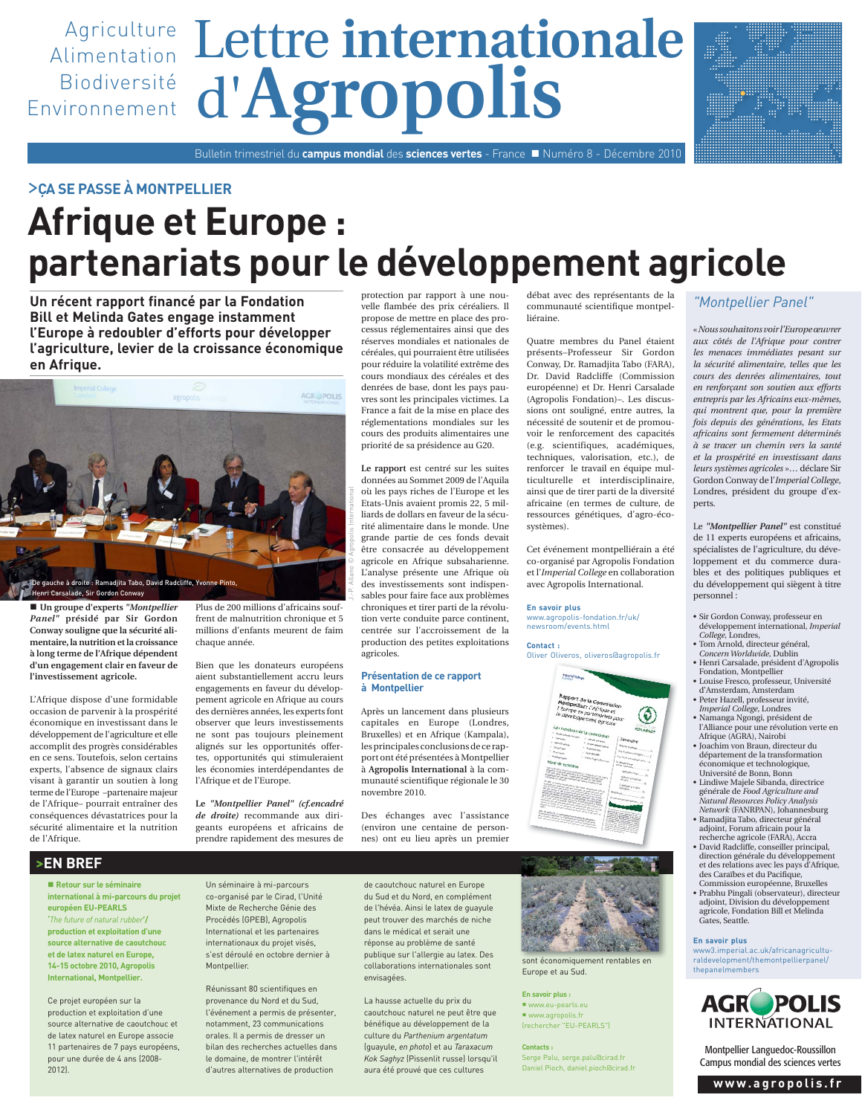

## >**ÇA SE PASSE À MONTPELLIER**

# **Afrique et Europe : partenariats pour le développement agricole**

**Un récent rapport financé par la Fondation Bill et Melinda Gates engage instamment l'Europe à redoubler d'efforts pour développer l'agriculture, levier de la croissance économique en Afrique.**



 **Un groupe d'experts** *"Montpellier Panel"* **présidé par Sir Gordon Conway souligne que la sécurité alimentaire, la nutrition et la croissance à long terme de l'Afrique dépendent d'un engagement clair en faveur de l'investissement agricole.** 

L'Afrique dispose d'une formidable occasion de parvenir à la prospérité économique en investissant dans le développement de l'agriculture et elle accomplit des progrès considérables en ce sens. Toutefois, selon certains experts, l'absence de signaux clairs visant à garantir un soutien à long terme de l'Europe –partenaire majeur de l'Afrique– pourrait entraîner des conséquences dévastatrices pour la sécurité alimentaire et la nutrition de l'Afrique.

Plus de 200 millions d'africains souffrent de malnutrition chronique et 5 millions d'enfants meurent de faim chaque année.

Bien que les donateurs européens aient substantiellement accru leurs engagements en faveur du développement agricole en Afrique au cours des dernières années, les experts font observer que leurs investissements ne sont pas toujours pleinement alignés sur les opportunités offertes, opportunités qui stimuleraient les économies interdépendantes de l'Afrique et de l'Europe.

**Le** *"Montpellier Panel" (cf.encadré de droite)* recommande aux dirigeants européens et africains de prendre rapidement des mesures de

protection par rapport à une nouvelle flambée des prix céréaliers. Il propose de mettre en place des processus réglementaires ainsi que des réserves mondiales et nationales de céréales, qui pourraient être utilisées pour réduire la volatilité extrême des cours mondiaux des céréales et des denrées de base, dont les pays pauvres sont les principales victimes. La France a fait de la mise en place des réglementations mondiales sur les cours des produits alimentaires une priorité de sa présidence au G20.

**Le rapport** est centré sur les suites données au Sommet 2009 de l'Aquila où les pays riches de l'Europe et les Etats-Unis avaient promis 22, 5 milliards de dollars en faveur de la sécurité alimentaire dans le monde. Une grande partie de ces fonds devait être consacrée au développement agricole en Afrique subsaharienne. L'analyse présente une Afrique où des investissements sont indispensables pour faire face aux problèmes chroniques et tirer parti de la révolution verte conduite parce continent, centrée sur l'accroissement de la production des petites exploitations agricoles.

## **Présentation de ce rapport à Montpellier**

Après un lancement dans plusieurs capitales en Europe (Londres, Bruxelles) et en Afrique (Kampala), les principales conclusions de ce rapport ont été présentées à Montpellier à **Agropolis International** à la communauté scientifique régionale le 30 novembre 2010.

Des échanges avec l'assistance (environ une centaine de personnes) ont eu lieu après un premier

débat avec des représentants de la communauté scientifique montpelliéraine.

Quatre membres du Panel étaient présents–Professeur Sir Gordon Conway, Dr. Ramadjita Tabo (FARA), Dr. David Radcliffe (Commission européenne) et Dr. Henri Carsalade (Agropolis Fondation)–. Les discussions ont souligné, entre autres, la nécessité de soutenir et de promouvoir le renforcement des capacités (e.g. scientifiques, académiques, techniques, valorisation, etc.), de renforcer le travail en équipe multiculturelle et interdisciplinaire, ainsi que de tirer parti de la diversité africaine (en termes de culture, de ressources génétiques, d'agro-écosystèmes).

Cet événement montpelliérain a été co-organisé par Agropolis Fondation et l'*Imperial College* en collaboration avec Agropolis International.

#### **En savoir plus** www.agropolis-fondation.fr/uk/ newsroom/events.html

## **Contact :**

Oliver Oliveros, oliveros@agropolis.fr





sont économiquement rentables en Europe et au Sud.

**En savoir plus :** www.eu-pearls.eu www.agropolis.fr (rechercher "EU-PEARLS")

**Contacts :** Serge Palu, serge.palu@cirad.fr Daniel Pioch, daniel.pioch@cirad.fr

## *"Montpellier Panel"*

« *Nous souhaitons voir l'Europe œuvrer aux côtés de l'Afrique pour contrer les menaces immédiates pesant sur la sécurité alimentaire, telles que les cours des denrées alimentaires, tout en renforçant son soutien aux efforts entrepris par les Africains eux-mêmes, qui montrent que, pour la première fois depuis des générations, les Etats africains sont fermement déterminés à se tracer un chemin vers la santé et la prospérité en investissant dans leurs systèmes agricoles* »… déclare Sir Gordon Conway de l'*Imperial College*, Londres, président du groupe d'experts.

Le *"Montpellier Panel"* est constitué de 11 experts européens et africains, spécialistes de l'agriculture, du développement et du commerce durables et des politiques publiques et du développement qui siègent à titre personnel :

- Sir Gordon Conway, professeur en développement international, *Imperial College*, Londres,
- Tom Arnold, directeur général,
- *Concern Worldwide*, Dublin • Henri Carsalade, président d'Agropolis Fondation, Montpellier
- Louise Fresco, professeur, Université d'Amsterdam, Amsterdam
- Peter Hazell, professeur invité, *Imperial College*, Londres
- Namanga Ngongi, président de l'Alliance pour une révolution verte en Afrique (AGRA), Nairobi
- Joachim von Braun, directeur du département de la transformation économique et technologique,
- Université de Bonn, Bonn • Lindiwe Majele Sibanda, directrice générale de *Food Agriculture and Natural Resources Policy Analysis*
- *Network* (FANRPAN), Johannesburg • Ramadjita Tabo, directeur général adjoint, Forum africain pour la recherche agricole (FARA), Accra
- David Radcliffe, conseiller principal, direction générale du développement et des relations avec les pays d'Afrique, des Caraïbes et du Pacifique,
- Commission européenne, Bruxelles • Prabhu Pingali (observateur), directeur adjoint, Division du développement agricole, Fondation Bill et Melinda Gates, Seattle.

**En savoir plus**

www3.imperial.ac.uk/africanagriculturaldevelopment/themontpellierpanel/ thepanelmembers



Montpellier Languedoc-Roussillon Campus mondial des sciences vertes

**www.agropolis.fr**

## **>EN BREF**

 **Retour sur le séminaire international à mi-parcours du projet européen EU-PEARLS '***The future of natural rubber***'/ production et exploitation d'une source alternative de caoutchouc et de latex naturel en Europe, 14-15 octobre 2010, Agropolis International, Montpellier.**

Ce projet européen sur la production et exploitation d'une source alternative de caoutchouc et de latex naturel en Europe associe 11 partenaires de 7 pays européens, pour une durée de 4 ans (2008- 2012).

Un séminaire à mi-parcours co-organisé par le Cirad, l'Unité Mixte de Recherche Génie des Procédés (GPEB), Agropolis International et les partenaires internationaux du projet visés, s'est déroulé en octobre dernier à Montpellier.

Réunissant 80 scientifiques en provenance du Nord et du Sud, l'événement a permis de présenter, notamment, 23 communications orales. Il a permis de dresser un bilan des recherches actuelles dans le domaine, de montrer l'intérêt d'autres alternatives de production

de caoutchouc naturel en Europe du Sud et du Nord, en complément de l'hévéa. Ainsi le latex de guayule peut trouver des marchés de niche dans le médical et serait une réponse au problème de santé publique sur l'allergie au latex. Des collaborations internationales sont envisagées.

La hausse actuelle du prix du caoutchouc naturel ne peut être que bénéfique au développement de la culture du *Parthenium argentatum* (guayule, *en photo*) et au *Taraxacum Kok Saghyz* (Pissenlit russe) lorsqu'il aura été prouvé que ces cultures